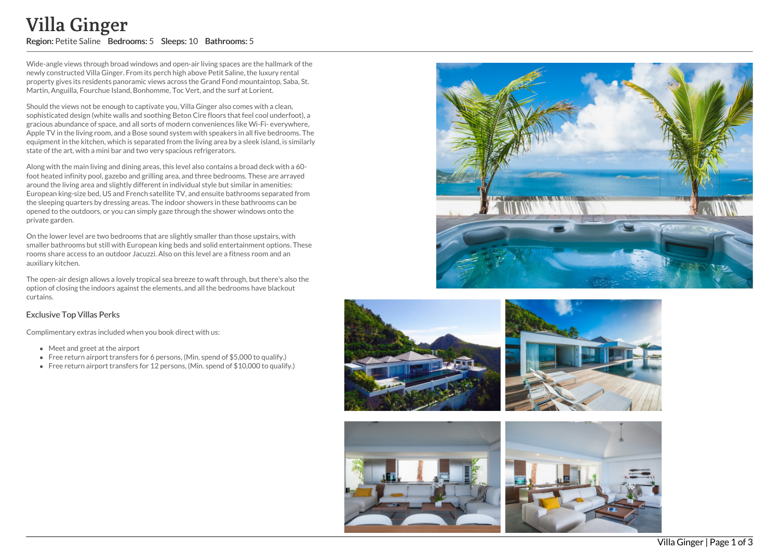## Villa Ginger Region: Petite Saline Bedrooms: 5 Sleeps: 10 Bathrooms: 5

Wide-angle views through broad windows and open-air living spaces are the hallmark of the newly constructed Villa Ginger. From its perch high above Petit Saline, the luxury rental property gives its residents panoramic views across the Grand Fond mountaintop, Saba, St. Martin, Anguilla, Fourchue Island, Bonhomme, Toc Vert, and the surf at Lorient.

Should the views not be enough to captivate you, Villa Ginger also comes with a clean, sophisticated design (white walls and soothing Beton Cire floors that feel cool underfoot), a gracious abundance of space, and all sorts of modern conveniences like Wi-Fi- everywhere, Apple TV in the living room, and a Bose sound system with speakers in all five bedrooms. The equipment in the kitchen, which is separated from the living area by a sleek island, is similarly state of the art, with a mini bar and two very spacious refrigerators.

Along with the main living and dining areas, this level also contains a broad deck with a 60 foot heated infinity pool, gazebo and grilling area, and three bedrooms. These are arrayed around the living area and slightly different in individual style but similar in amenities: European king-size bed, US and French satellite TV, and ensuite bathrooms separated from the sleeping quarters by dressing areas. The indoor showers in these bathrooms can be opened to the outdoors, or you can simply gaze through the shower windows onto the private garden.

On the lower level are two bedrooms that are slightly smaller than those upstairs, with smaller bathrooms but still with European king beds and solid entertainment options. These rooms share access to an outdoor Jacuzzi. Also on this level are a fitness room and an auxiliary kitchen.

The open-air design allows a lovely tropical sea breeze to waft through, but there's also the option of closing the indoors against the elements, and all the bedrooms have blackout curtains.

## Exclusive Top Villas Perks

Complimentary extras included when you book direct with us:

- Meet and greet at the airport
- Free return airport transfers for 6 persons, (Min. spend of \$5,000 to qualify.)
- Free return airport transfers for 12 persons, (Min. spend of \$10,000 to qualify.)





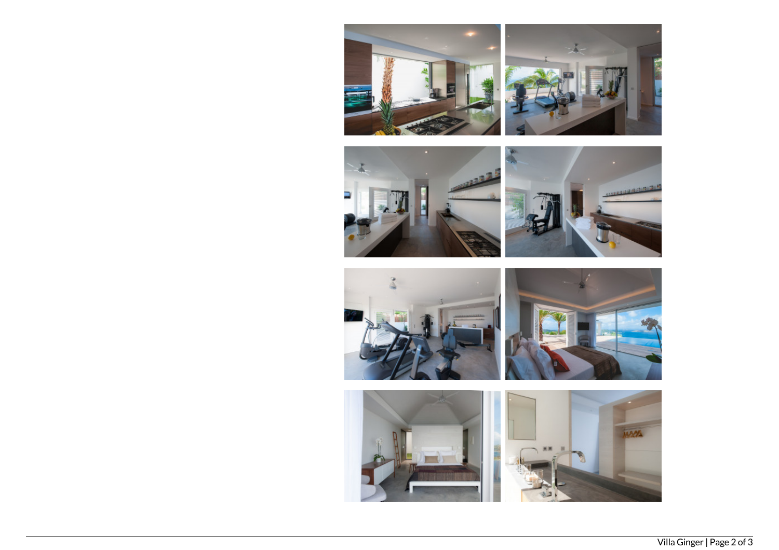